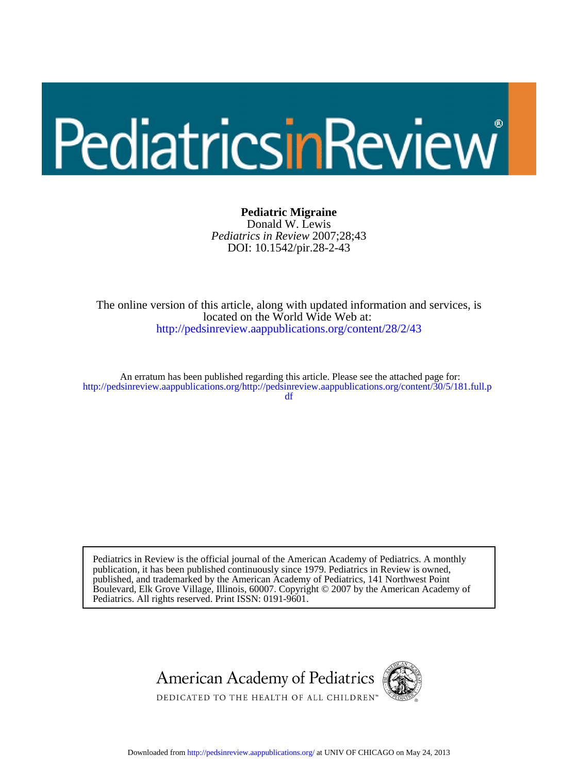# PediatricsinReview

DOI: 10.1542/pir.28-2-43 *Pediatrics in Review* 2007;28;43 Donald W. Lewis **Pediatric Migraine**

<http://pedsinreview.aappublications.org/content/28/2/43> located on the World Wide Web at: The online version of this article, along with updated information and services, is

df http://pedsinreview.aappublications.org/http://pedsinreview.aappublications.org/content/30/5/181.full.p An erratum has been published regarding this article. Please see the attached page for:

Pediatrics. All rights reserved. Print ISSN: 0191-9601. Boulevard, Elk Grove Village, Illinois, 60007. Copyright © 2007 by the American Academy of published, and trademarked by the American Academy of Pediatrics, 141 Northwest Point publication, it has been published continuously since 1979. Pediatrics in Review is owned, Pediatrics in Review is the official journal of the American Academy of Pediatrics. A monthly



Downloaded from<http://pedsinreview.aappublications.org/>at UNIV OF CHICAGO on May 24, 2013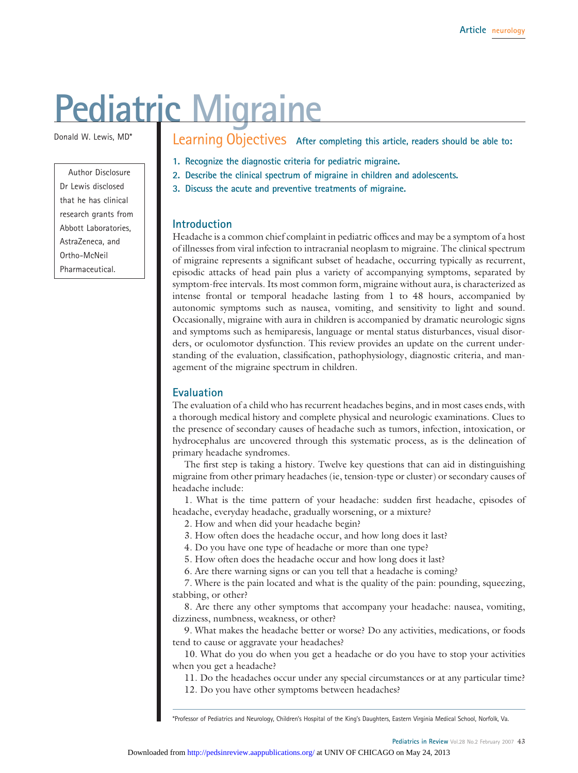# **Pediatric Migraine**

Donald W. Lewis, MD\*

Author Disclosure

Learning Objectives **After completing this article, readers should be able to:**

- **1. Recognize the diagnostic criteria for pediatric migraine.**
- **2. Describe the clinical spectrum of migraine in children and adolescents.**
- **3. Discuss the acute and preventive treatments of migraine.**

# **Introduction**

Headache is a common chief complaint in pediatric offices and may be a symptom of a host of illnesses from viral infection to intracranial neoplasm to migraine. The clinical spectrum of migraine represents a significant subset of headache, occurring typically as recurrent, episodic attacks of head pain plus a variety of accompanying symptoms, separated by symptom-free intervals. Its most common form, migraine without aura, is characterized as intense frontal or temporal headache lasting from 1 to 48 hours, accompanied by autonomic symptoms such as nausea, vomiting, and sensitivity to light and sound. Occasionally, migraine with aura in children is accompanied by dramatic neurologic signs and symptoms such as hemiparesis, language or mental status disturbances, visual disorders, or oculomotor dysfunction. This review provides an update on the current understanding of the evaluation, classification, pathophysiology, diagnostic criteria, and management of the migraine spectrum in children.

# **Evaluation**

The evaluation of a child who has recurrent headaches begins, and in most cases ends, with a thorough medical history and complete physical and neurologic examinations. Clues to the presence of secondary causes of headache such as tumors, infection, intoxication, or hydrocephalus are uncovered through this systematic process, as is the delineation of primary headache syndromes.

The first step is taking a history. Twelve key questions that can aid in distinguishing migraine from other primary headaches (ie, tension-type or cluster) or secondary causes of headache include:

1. What is the time pattern of your headache: sudden first headache, episodes of headache, everyday headache, gradually worsening, or a mixture?

2. How and when did your headache begin?

3. How often does the headache occur, and how long does it last?

4. Do you have one type of headache or more than one type?

5. How often does the headache occur and how long does it last?

6. Are there warning signs or can you tell that a headache is coming?

7. Where is the pain located and what is the quality of the pain: pounding, squeezing, stabbing, or other?

8. Are there any other symptoms that accompany your headache: nausea, vomiting, dizziness, numbness, weakness, or other?

9. What makes the headache better or worse? Do any activities, medications, or foods tend to cause or aggravate your headaches?

10. What do you do when you get a headache or do you have to stop your activities when you get a headache?

11. Do the headaches occur under any special circumstances or at any particular time? 12. Do you have other symptoms between headaches?

\*Professor of Pediatrics and Neurology, Children's Hospital of the King's Daughters, Eastern Virginia Medical School, Norfolk, Va.

Dr Lewis disclosed that he has clinical research grants from Abbott Laboratories, AstraZeneca, and Ortho-McNeil Pharmaceutical.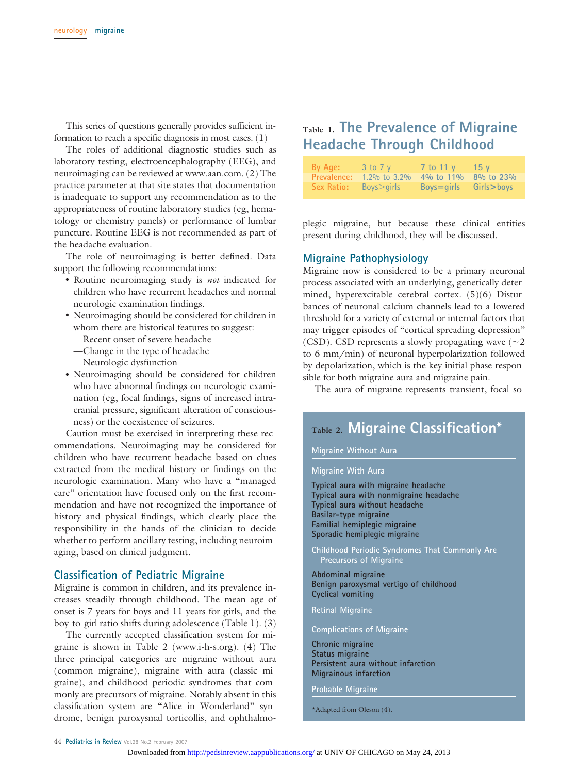This series of questions generally provides sufficient information to reach a specific diagnosis in most cases. (1)

The roles of additional diagnostic studies such as laboratory testing, electroencephalography (EEG), and neuroimaging can be reviewed at www.aan.com. (2) The practice parameter at that site states that documentation is inadequate to support any recommendation as to the appropriateness of routine laboratory studies (eg, hematology or chemistry panels) or performance of lumbar puncture. Routine EEG is not recommended as part of the headache evaluation.

The role of neuroimaging is better defined. Data support the following recommendations:

- Routine neuroimaging study is *not* indicated for children who have recurrent headaches and normal neurologic examination findings.
- Neuroimaging should be considered for children in whom there are historical features to suggest:
	- —Recent onset of severe headache
	- —Change in the type of headache
	- —Neurologic dysfunction
- Neuroimaging should be considered for children who have abnormal findings on neurologic examination (eg, focal findings, signs of increased intracranial pressure, significant alteration of consciousness) or the coexistence of seizures.

Caution must be exercised in interpreting these recommendations. Neuroimaging may be considered for children who have recurrent headache based on clues extracted from the medical history or findings on the neurologic examination. Many who have a "managed care" orientation have focused only on the first recommendation and have not recognized the importance of history and physical findings, which clearly place the responsibility in the hands of the clinician to decide whether to perform ancillary testing, including neuroimaging, based on clinical judgment.

# **Classification of Pediatric Migraine**

Migraine is common in children, and its prevalence increases steadily through childhood. The mean age of onset is 7 years for boys and 11 years for girls, and the boy-to-girl ratio shifts during adolescence (Table 1). (3)

The currently accepted classification system for migraine is shown in Table 2 (www.i-h-s.org). (4) The three principal categories are migraine without aura (common migraine), migraine with aura (classic migraine), and childhood periodic syndromes that commonly are precursors of migraine. Notably absent in this classification system are "Alice in Wonderland" syndrome, benign paroxysmal torticollis, and ophthalmo-

# **Table 1. The Prevalence of Migraine Headache Through Childhood**

| By Age:           | $3$ to $7$ y | 7 to 11 y      | 15 <sub>v</sub> |
|-------------------|--------------|----------------|-----------------|
| Prevalence:       | 1.2% to 3.2% | 4% to 11%      | 8% to 23%       |
| <b>Sex Ratio:</b> | Boys > qirls | $Boys = girls$ | Girls>boys      |

plegic migraine, but because these clinical entities present during childhood, they will be discussed.

# **Migraine Pathophysiology**

Migraine now is considered to be a primary neuronal process associated with an underlying, genetically determined, hyperexcitable cerebral cortex. (5)(6) Disturbances of neuronal calcium channels lead to a lowered threshold for a variety of external or internal factors that may trigger episodes of "cortical spreading depression" (CSD). CSD represents a slowly propagating wave  $(\sim 2)$ to 6 mm/min) of neuronal hyperpolarization followed by depolarization, which is the key initial phase responsible for both migraine aura and migraine pain.

The aura of migraine represents transient, focal so-

|                                     | Table 2. Migraine Classification*                                                                                                                                                                       |
|-------------------------------------|---------------------------------------------------------------------------------------------------------------------------------------------------------------------------------------------------------|
|                                     | <b>Migraine Without Aura</b>                                                                                                                                                                            |
|                                     | Migraine With Aura                                                                                                                                                                                      |
|                                     | Typical aura with migraine headache<br>Typical aura with nonmigraine headache<br>Typical aura without headache<br>Basilar-type migraine<br>Familial hemiplegic migraine<br>Sporadic hemiplegic migraine |
|                                     | Childhood Periodic Syndromes That Commonly Are<br><b>Precursors of Migraine</b>                                                                                                                         |
| <b>Cyclical vomiting</b>            | Abdominal migraine<br>Benign paroxysmal vertigo of childhood                                                                                                                                            |
| <b>Retinal Migraine</b>             |                                                                                                                                                                                                         |
|                                     | <b>Complications of Migraine</b>                                                                                                                                                                        |
| Chronic migraine<br>Status migraine | Persistent aura without infarction<br><b>Migrainous infarction</b>                                                                                                                                      |
|                                     | <b>Probable Migraine</b>                                                                                                                                                                                |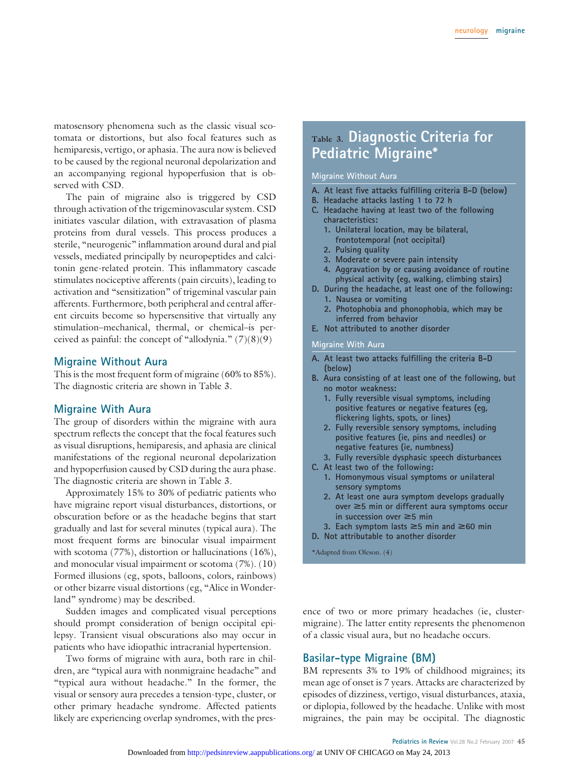matosensory phenomena such as the classic visual scotomata or distortions, but also focal features such as hemiparesis, vertigo, or aphasia. The aura now is believed to be caused by the regional neuronal depolarization and an accompanying regional hypoperfusion that is observed with CSD.

The pain of migraine also is triggered by CSD through activation of the trigeminovascular system. CSD initiates vascular dilation, with extravasation of plasma proteins from dural vessels. This process produces a sterile, "neurogenic" inflammation around dural and pial vessels, mediated principally by neuropeptides and calcitonin gene-related protein. This inflammatory cascade stimulates nociceptive afferents (pain circuits), leading to activation and "sensitization" of trigeminal vascular pain afferents. Furthermore, both peripheral and central afferent circuits become so hypersensitive that virtually any stimulation–mechanical, thermal, or chemical–is perceived as painful: the concept of "allodynia."  $(7)(8)(9)$ 

# **Migraine Without Aura**

This is the most frequent form of migraine (60% to 85%). The diagnostic criteria are shown in Table 3.

### **Migraine With Aura**

The group of disorders within the migraine with aura spectrum reflects the concept that the focal features such as visual disruptions, hemiparesis, and aphasia are clinical manifestations of the regional neuronal depolarization and hypoperfusion caused by CSD during the aura phase. The diagnostic criteria are shown in Table 3.

Approximately 15% to 30% of pediatric patients who have migraine report visual disturbances, distortions, or obscuration before or as the headache begins that start gradually and last for several minutes (typical aura). The most frequent forms are binocular visual impairment with scotoma (77%), distortion or hallucinations (16%), and monocular visual impairment or scotoma (7%). (10) Formed illusions (eg, spots, balloons, colors, rainbows) or other bizarre visual distortions (eg, "Alice in Wonderland" syndrome) may be described.

Sudden images and complicated visual perceptions should prompt consideration of benign occipital epilepsy. Transient visual obscurations also may occur in patients who have idiopathic intracranial hypertension.

Two forms of migraine with aura, both rare in children, are "typical aura with nonmigraine headache" and "typical aura without headache." In the former, the visual or sensory aura precedes a tension-type, cluster, or other primary headache syndrome. Affected patients likely are experiencing overlap syndromes, with the pres-

# **Table 3. Diagnostic Criteria for Pediatric Migraine\***

### **Migraine Without Aura**

**A. At least five attacks fulfilling criteria B-D (below)**

- **B. Headache attacks lasting 1 to 72 h**
- **C. Headache having at least two of the following characteristics:**
	- **1. Unilateral location, may be bilateral, frontotemporal (not occipital)**
	- **2. Pulsing quality**
	- **3. Moderate or severe pain intensity**
	- **4. Aggravation by or causing avoidance of routine physical activity (eg, walking, climbing stairs)**
- **D. During the headache, at least one of the following: 1. Nausea or vomiting**
	- **2. Photophobia and phonophobia, which may be inferred from behavior**
- **E. Not attributed to another disorder**

**Migraine With Aura**

- **A. At least two attacks fulfilling the criteria B-D (below)**
- **B. Aura consisting of at least one of the following, but no motor weakness:**
	- **1. Fully reversible visual symptoms, including positive features or negative features (eg, flickering lights, spots, or lines)**
	- **2. Fully reversible sensory symptoms, including positive features (ie, pins and needles) or negative features (ie, numbness)**
	- **3. Fully reversible dysphasic speech disturbances**
- **C. At least two of the following:**
	- **1. Homonymous visual symptoms or unilateral sensory symptoms**
	- **2. At least one aura symptom develops gradually over** ≥5 min or different aura symptoms occur  $inccession over  $\geq 5$  min$
- **3.** Each symptom lasts  $\geq$ 5 min and  $\geq$ 60 min
- **D. Not attributable to another disorder**

\*Adapted from Oleson. (4)

ence of two or more primary headaches (ie, clustermigraine). The latter entity represents the phenomenon of a classic visual aura, but no headache occurs.

# **Basilar-type Migraine (BM)**

BM represents 3% to 19% of childhood migraines; its mean age of onset is 7 years. Attacks are characterized by episodes of dizziness, vertigo, visual disturbances, ataxia, or diplopia, followed by the headache. Unlike with most migraines, the pain may be occipital. The diagnostic

Pediatrics in Review Vol.28 No.2 February 2007 45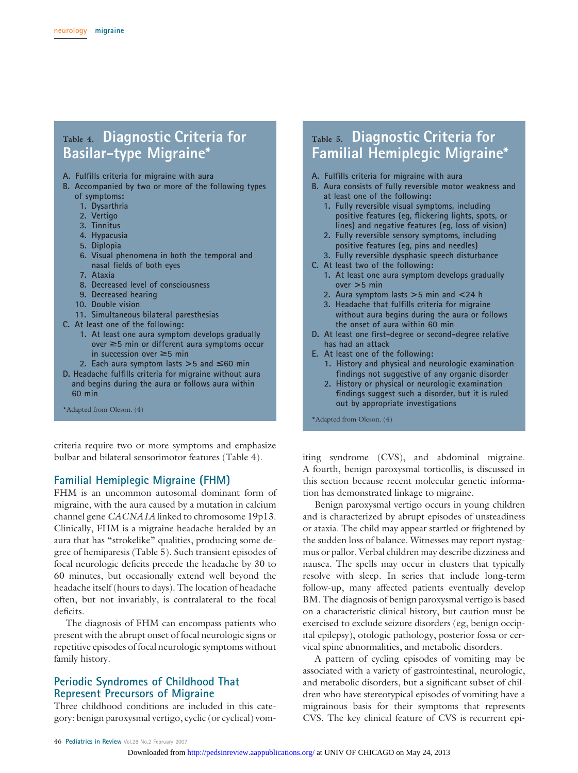# **Table 4. Diagnostic Criteria for Basilar-type Migraine\***

### **A. Fulfills criteria for migraine with aura**

- **B. Accompanied by two or more of the following types of symptoms:**
	- **1. Dysarthria**
	- **2. Vertigo**
	- **3. Tinnitus**
	- **4. Hypacusia**
	- **5. Diplopia**
	- **6. Visual phenomena in both the temporal and nasal fields of both eyes**
	- **7. Ataxia**
	- **8. Decreased level of consciousness**
	- **9. Decreased hearing**
	- **10. Double vision**
	- **11. Simultaneous bilateral paresthesias**
- **C. At least one of the following:**
	- **1. At least one aura symptom develops gradually over** ≥5 min or different aura symptoms occur  $inccession over  $\geq 5$  min$
	- **2. Each aura symptom lasts >5 and** <**60 min**
- **D. Headache fulfills criteria for migraine without aura and begins during the aura or follows aura within 60 min**

\*Adapted from Oleson. (4)

criteria require two or more symptoms and emphasize bulbar and bilateral sensorimotor features (Table 4).

# **Familial Hemiplegic Migraine (FHM)**

FHM is an uncommon autosomal dominant form of migraine, with the aura caused by a mutation in calcium channel gene *CACNA1A* linked to chromosome 19p13. Clinically, FHM is a migraine headache heralded by an aura that has "strokelike" qualities, producing some degree of hemiparesis (Table 5). Such transient episodes of focal neurologic deficits precede the headache by 30 to 60 minutes, but occasionally extend well beyond the headache itself (hours to days). The location of headache often, but not invariably, is contralateral to the focal deficits.

The diagnosis of FHM can encompass patients who present with the abrupt onset of focal neurologic signs or repetitive episodes of focal neurologic symptoms without family history.

# **Periodic Syndromes of Childhood That Represent Precursors of Migraine**

Three childhood conditions are included in this category: benign paroxysmal vertigo, cyclic (or cyclical) vom-

# **Table 5. Diagnostic Criteria for Familial Hemiplegic Migraine\***

- **A. Fulfills criteria for migraine with aura**
- **B. Aura consists of fully reversible motor weakness and at least one of the following:**
	- **1. Fully reversible visual symptoms, including positive features (eg, flickering lights, spots, or lines) and negative features (eg, loss of vision)**
	- **2. Fully reversible sensory symptoms, including positive features (eg, pins and needles)**
	- **3. Fully reversible dysphasic speech disturbance**
- **C. At least two of the following:**
	- **1. At least one aura symptom develops gradually over >5 min**
	- **2. Aura symptom lasts >5 min and <24 h**
	- **3. Headache that fulfills criteria for migraine without aura begins during the aura or follows the onset of aura within 60 min**
- **D. At least one first-degree or second-degree relative has had an attack**
- **E. At least one of the following:**
	- **1. History and physical and neurologic examination findings not suggestive of any organic disorder**
	- **2. History or physical or neurologic examination findings suggest such a disorder, but it is ruled out by appropriate investigations**
- \*Adapted from Oleson. (4)

iting syndrome (CVS), and abdominal migraine. A fourth, benign paroxysmal torticollis, is discussed in this section because recent molecular genetic information has demonstrated linkage to migraine.

Benign paroxysmal vertigo occurs in young children and is characterized by abrupt episodes of unsteadiness or ataxia. The child may appear startled or frightened by the sudden loss of balance. Witnesses may report nystagmus or pallor. Verbal children may describe dizziness and nausea. The spells may occur in clusters that typically resolve with sleep. In series that include long-term follow-up, many affected patients eventually develop BM. The diagnosis of benign paroxysmal vertigo is based on a characteristic clinical history, but caution must be exercised to exclude seizure disorders (eg, benign occipital epilepsy), otologic pathology, posterior fossa or cervical spine abnormalities, and metabolic disorders.

A pattern of cycling episodes of vomiting may be associated with a variety of gastrointestinal, neurologic, and metabolic disorders, but a significant subset of children who have stereotypical episodes of vomiting have a migrainous basis for their symptoms that represents CVS. The key clinical feature of CVS is recurrent epi-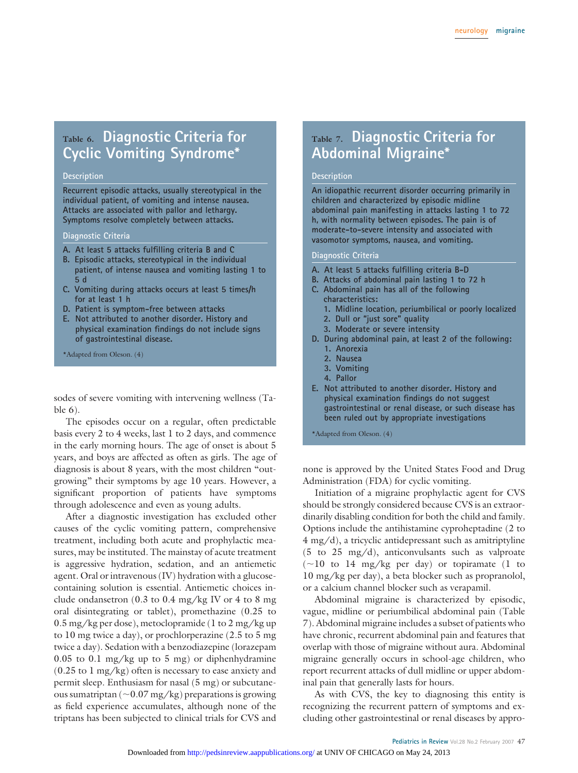# **Table 6. Diagnostic Criteria for Cyclic Vomiting Syndrome\***

### **Description**

**Recurrent episodic attacks, usually stereotypical in the individual patient, of vomiting and intense nausea. Attacks are associated with pallor and lethargy. Symptoms resolve completely between attacks.**

### **Diagnostic Criteria**

- **A. At least 5 attacks fulfilling criteria B and C**
- **B. Episodic attacks, stereotypical in the individual patient, of intense nausea and vomiting lasting 1 to 5 d**
- **C. Vomiting during attacks occurs at least 5 times/h for at least 1 h**
- **D. Patient is symptom-free between attacks**
- **E. Not attributed to another disorder. History and physical examination findings do not include signs of gastrointestinal disease.**
- \*Adapted from Oleson. (4)

sodes of severe vomiting with intervening wellness (Table 6).

The episodes occur on a regular, often predictable basis every 2 to 4 weeks, last 1 to 2 days, and commence in the early morning hours. The age of onset is about 5 years, and boys are affected as often as girls. The age of diagnosis is about 8 years, with the most children "outgrowing" their symptoms by age 10 years. However, a significant proportion of patients have symptoms through adolescence and even as young adults.

After a diagnostic investigation has excluded other causes of the cyclic vomiting pattern, comprehensive treatment, including both acute and prophylactic measures, may be instituted. The mainstay of acute treatment is aggressive hydration, sedation, and an antiemetic agent. Oral or intravenous (IV) hydration with a glucosecontaining solution is essential. Antiemetic choices include ondansetron (0.3 to 0.4 mg/kg IV or 4 to 8 mg oral disintegrating or tablet), promethazine (0.25 to 0.5 mg/kg per dose), metoclopramide (1 to 2 mg/kg up to 10 mg twice a day), or prochlorperazine (2.5 to 5 mg twice a day). Sedation with a benzodiazepine (lorazepam 0.05 to 0.1 mg/kg up to 5 mg) or diphenhydramine (0.25 to 1 mg/kg) often is necessary to ease anxiety and permit sleep. Enthusiasm for nasal (5 mg) or subcutaneous sumatriptan ( $\sim$ 0.07 mg/kg) preparations is growing as field experience accumulates, although none of the triptans has been subjected to clinical trials for CVS and

# **Table 7. Diagnostic Criteria for Abdominal Migraine\***

### **Description**

**An idiopathic recurrent disorder occurring primarily in children and characterized by episodic midline abdominal pain manifesting in attacks lasting 1 to 72 h, with normality between episodes. The pain is of moderate-to-severe intensity and associated with vasomotor symptoms, nausea, and vomiting.**

### **Diagnostic Criteria**

- **A. At least 5 attacks fulfilling criteria B-D**
- **B. Attacks of abdominal pain lasting 1 to 72 h**
- **C. Abdominal pain has all of the following characteristics:**
	- **1. Midline location, periumbilical or poorly localized**
	- **2. Dull or "just sore" quality**
	- **3. Moderate or severe intensity**
- **D. During abdominal pain, at least 2 of the following: 1. Anorexia**
	- **2. Nausea**
	- **3. Vomiting**
	- **4. Pallor**
- **E. Not attributed to another disorder. History and physical examination findings do not suggest gastrointestinal or renal disease, or such disease has been ruled out by appropriate investigations**

\*Adapted from Oleson. (4)

none is approved by the United States Food and Drug Administration (FDA) for cyclic vomiting.

Initiation of a migraine prophylactic agent for CVS should be strongly considered because CVS is an extraordinarily disabling condition for both the child and family. Options include the antihistamine cyproheptadine (2 to 4 mg/d), a tricyclic antidepressant such as amitriptyline (5 to 25 mg/d), anticonvulsants such as valproate  $(\sim]10$  to 14 mg/kg per day) or topiramate (1 to 10 mg/kg per day), a beta blocker such as propranolol, or a calcium channel blocker such as verapamil.

Abdominal migraine is characterized by episodic, vague, midline or periumbilical abdominal pain (Table 7). Abdominal migraine includes a subset of patients who have chronic, recurrent abdominal pain and features that overlap with those of migraine without aura. Abdominal migraine generally occurs in school-age children, who report recurrent attacks of dull midline or upper abdominal pain that generally lasts for hours.

As with CVS, the key to diagnosing this entity is recognizing the recurrent pattern of symptoms and excluding other gastrointestinal or renal diseases by appro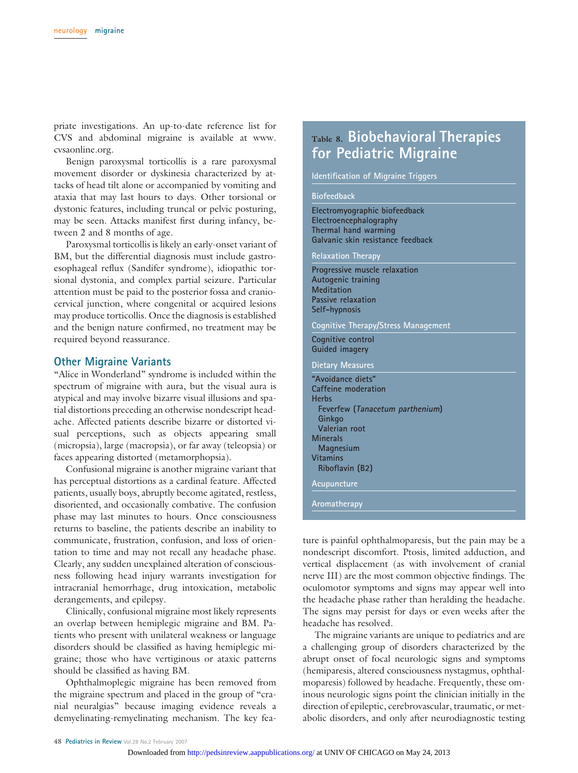priate investigations. An up-to-date reference list for CVS and abdominal migraine is available at www. cvsaonline.org.

Benign paroxysmal torticollis is a rare paroxysmal movement disorder or dyskinesia characterized by attacks of head tilt alone or accompanied by vomiting and ataxia that may last hours to days. Other torsional or dystonic features, including truncal or pelvic posturing, may be seen. Attacks manifest first during infancy, between 2 and 8 months of age.

Paroxysmal torticollis is likely an early-onset variant of BM, but the differential diagnosis must include gastroesophageal reflux (Sandifer syndrome), idiopathic torsional dystonia, and complex partial seizure. Particular attention must be paid to the posterior fossa and craniocervical junction, where congenital or acquired lesions may produce torticollis. Once the diagnosis is established and the benign nature confirmed, no treatment may be required beyond reassurance.

# **Other Migraine Variants**

"Alice in Wonderland" syndrome is included within the spectrum of migraine with aura, but the visual aura is atypical and may involve bizarre visual illusions and spatial distortions preceding an otherwise nondescript headache. Affected patients describe bizarre or distorted visual perceptions, such as objects appearing small (micropsia), large (macropsia), or far away (teleopsia) or faces appearing distorted (metamorphopsia).

Confusional migraine is another migraine variant that has perceptual distortions as a cardinal feature. Affected patients, usually boys, abruptly become agitated, restless, disoriented, and occasionally combative. The confusion phase may last minutes to hours. Once consciousness returns to baseline, the patients describe an inability to communicate, frustration, confusion, and loss of orientation to time and may not recall any headache phase. Clearly, any sudden unexplained alteration of consciousness following head injury warrants investigation for intracranial hemorrhage, drug intoxication, metabolic derangements, and epilepsy.

Clinically, confusional migraine most likely represents an overlap between hemiplegic migraine and BM. Patients who present with unilateral weakness or language disorders should be classified as having hemiplegic migraine; those who have vertiginous or ataxic patterns should be classified as having BM.

Ophthalmoplegic migraine has been removed from the migraine spectrum and placed in the group of "cranial neuralgias" because imaging evidence reveals a demyelinating-remyelinating mechanism. The key fea-

# **Table 8. Biobehavioral Therapies for Pediatric Migraine**

### **Identification of Migraine Triggers**

### **Biofeedback**

**Electromyographic biofeedback Electroencephalography Thermal hand warming Galvanic skin resistance feedback**

### **Relaxation Therapy**

**Progressive muscle relaxation Autogenic training Meditation Passive relaxation Self-hypnosis**

**Cognitive Therapy/Stress Management**

**Cognitive control Guided imagery**

**Dietary Measures**

| "Avoidance diets"               |
|---------------------------------|
| Caffeine moderation             |
| <b>Herbs</b>                    |
| Feverfew (Tanacetum parthenium) |
| Ginkgo                          |
| Valerian root                   |
| Minerals                        |
| Magnesium                       |
| <b>Vitamins</b>                 |
| Riboflavin (B2)                 |
| Acupuncture                     |
| Aromatherapy                    |

ture is painful ophthalmoparesis, but the pain may be a nondescript discomfort. Ptosis, limited adduction, and vertical displacement (as with involvement of cranial nerve III) are the most common objective findings. The oculomotor symptoms and signs may appear well into the headache phase rather than heralding the headache. The signs may persist for days or even weeks after the headache has resolved.

The migraine variants are unique to pediatrics and are a challenging group of disorders characterized by the abrupt onset of focal neurologic signs and symptoms (hemiparesis, altered consciousness nystagmus, ophthalmoparesis) followed by headache. Frequently, these ominous neurologic signs point the clinician initially in the direction of epileptic, cerebrovascular, traumatic, or metabolic disorders, and only after neurodiagnostic testing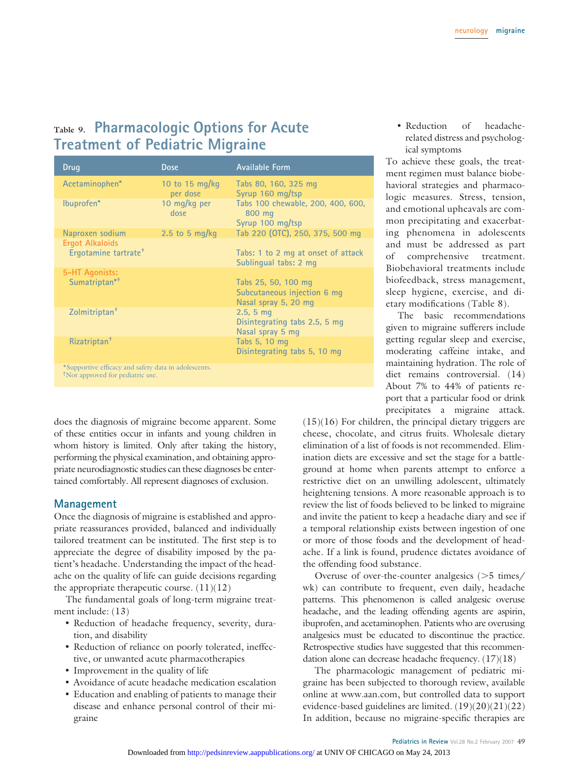# **Table 9. Pharmacologic Options for Acute Treatment of Pediatric Migraine**

| <b>Drug</b>                                                                                          | <b>Dose</b>                  | <b>Available Form</b>                                                      |
|------------------------------------------------------------------------------------------------------|------------------------------|----------------------------------------------------------------------------|
| Acetaminophen*                                                                                       | 10 to 15 $mq/kg$<br>per dose | Tabs 80, 160, 325 mg<br>Syrup 160 mg/tsp                                   |
| lbuprofen*                                                                                           | 10 mg/kg per<br>dose         | Tabs 100 chewable, 200, 400, 600,<br>800 mg<br>Syrup 100 mg/tsp            |
| Naproxen sodium                                                                                      | 2.5 to 5 $mq/kg$             | Tab 220 (OTC), 250, 375, 500 mg                                            |
| <b>Ergot Alkaloids</b><br>Ergotamine tartrate <sup>+</sup>                                           |                              | Tabs: 1 to 2 mg at onset of attack<br>Sublingual tabs: 2 mg                |
| 5-HT Agonists:<br>Sumatriptan* <sup>+</sup>                                                          |                              | Tabs 25, 50, 100 mg<br>Subcutaneous injection 6 mg<br>Nasal spray 5, 20 mg |
| Zolmitriptan <sup>+</sup>                                                                            |                              | $2.5, 5$ mq<br>Disintegrating tabs 2.5, 5 mg<br>Nasal spray 5 mg           |
| Rizatriptan <sup>+</sup>                                                                             |                              | Tabs 5, 10 mg<br>Disintegrating tabs 5, 10 mg                              |
| *Supportive efficacy and safety data in adolescents.<br><sup>†</sup> Not approved for pediatric use. |                              |                                                                            |

does the diagnosis of migraine become apparent. Some of these entities occur in infants and young children in whom history is limited. Only after taking the history, performing the physical examination, and obtaining appropriate neurodiagnostic studies can these diagnoses be entertained comfortably. All represent diagnoses of exclusion.

# **Management**

Once the diagnosis of migraine is established and appropriate reassurances provided, balanced and individually tailored treatment can be instituted. The first step is to appreciate the degree of disability imposed by the patient's headache. Understanding the impact of the headache on the quality of life can guide decisions regarding the appropriate therapeutic course.  $(11)(12)$ 

The fundamental goals of long-term migraine treatment include: (13)

- Reduction of headache frequency, severity, duration, and disability
- Reduction of reliance on poorly tolerated, ineffective, or unwanted acute pharmacotherapies
- Improvement in the quality of life
- Avoidance of acute headache medication escalation
- Education and enabling of patients to manage their disease and enhance personal control of their migraine

• Reduction of headacherelated distress and psychological symptoms

To achieve these goals, the treatment regimen must balance biobehavioral strategies and pharmacologic measures. Stress, tension, and emotional upheavals are common precipitating and exacerbating phenomena in adolescents and must be addressed as part of comprehensive treatment. Biobehavioral treatments include biofeedback, stress management, sleep hygiene, exercise, and dietary modifications (Table 8).

The basic recommendations given to migraine sufferers include getting regular sleep and exercise, moderating caffeine intake, and maintaining hydration. The role of diet remains controversial. (14) About 7% to 44% of patients report that a particular food or drink precipitates a migraine attack.

 $(15)(16)$  For children, the principal dietary triggers are cheese, chocolate, and citrus fruits. Wholesale dietary elimination of a list of foods is not recommended. Elimination diets are excessive and set the stage for a battleground at home when parents attempt to enforce a restrictive diet on an unwilling adolescent, ultimately heightening tensions. A more reasonable approach is to review the list of foods believed to be linked to migraine and invite the patient to keep a headache diary and see if a temporal relationship exists between ingestion of one or more of those foods and the development of headache. If a link is found, prudence dictates avoidance of the offending food substance.

Overuse of over-the-counter analgesics  $($ >5 times $/$ wk) can contribute to frequent, even daily, headache patterns. This phenomenon is called analgesic overuse headache, and the leading offending agents are aspirin, ibuprofen, and acetaminophen. Patients who are overusing analgesics must be educated to discontinue the practice. Retrospective studies have suggested that this recommendation alone can decrease headache frequency. (17)(18)

The pharmacologic management of pediatric migraine has been subjected to thorough review, available online at www.aan.com, but controlled data to support evidence-based guidelines are limited. (19)(20)(21)(22) In addition, because no migraine-specific therapies are

Pediatrics in Review Vol.28 No.2 February 2007 49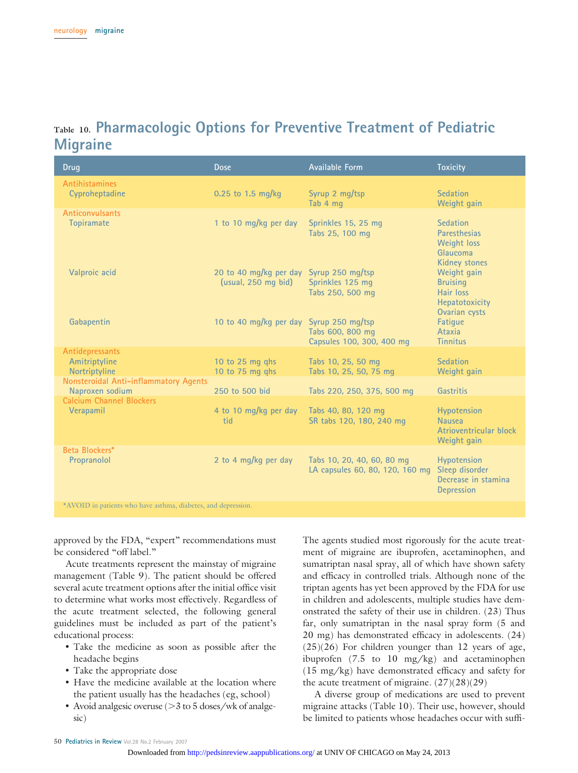# **Table 10. Pharmacologic Options for Preventive Treatment of Pediatric Migraine**

| <b>Drug</b>                                                   | <b>Dose</b>                                                    | <b>Available Form</b>                                             | <b>Toxicity</b>                                                                                  |
|---------------------------------------------------------------|----------------------------------------------------------------|-------------------------------------------------------------------|--------------------------------------------------------------------------------------------------|
| Antihistamines<br>Cyproheptadine                              | 0.25 to 1.5 mg/kg                                              | Syrup 2 mg/tsp<br>Tab 4 mg                                        | <b>Sedation</b><br>Weight gain                                                                   |
| <b>Anticonvulsants</b><br>Topiramate                          | 1 to 10 mg/kg per day                                          | Sprinkles 15, 25 mg<br>Tabs 25, 100 mg                            | <b>Sedation</b><br><b>Paresthesias</b><br><b>Weight loss</b><br>Glaucoma<br><b>Kidney stones</b> |
| Valproic acid                                                 | 20 to 40 mg/kg per day Syrup 250 mg/tsp<br>(usual, 250 mg bid) | Sprinkles 125 mg<br>Tabs 250, 500 mg                              | Weight gain<br><b>Bruising</b><br>Hair loss<br><b>Hepatotoxicity</b><br>Ovarian cysts            |
| Gabapentin                                                    | 10 to 40 mg/kg per day                                         | Syrup 250 mg/tsp<br>Tabs 600, 800 mg<br>Capsules 100, 300, 400 mg | Fatigue<br>Ataxia<br><b>Tinnitus</b>                                                             |
| Antidepressants<br>Amitriptyline<br>Nortriptyline             | 10 to 25 mg ghs<br>10 to 75 mg qhs                             | Tabs 10, 25, 50 mg<br>Tabs 10, 25, 50, 75 mg                      | <b>Sedation</b><br>Weight gain                                                                   |
| Nonsteroidal Anti-inflammatory Agents<br>Naproxen sodium      | 250 to 500 bid                                                 | Tabs 220, 250, 375, 500 mg                                        | <b>Gastritis</b>                                                                                 |
| Calcium Channel Blockers<br>Verapamil                         | 4 to 10 mg/kg per day<br>tid                                   | Tabs 40, 80, 120 mg<br>SR tabs 120, 180, 240 mg                   | Hypotension<br><b>Nausea</b><br>Atrioventricular block<br>Weight gain                            |
| <b>Beta Blockers*</b><br>Propranolol                          | 2 to 4 mg/kg per day                                           | Tabs 10, 20, 40, 60, 80 mg<br>LA capsules 60, 80, 120, 160 mg     | Hypotension<br>Sleep disorder<br>Decrease in stamina<br><b>Depression</b>                        |
| *AVOID in patients who have asthma, diabetes, and depression. |                                                                |                                                                   |                                                                                                  |

approved by the FDA, "expert" recommendations must be considered "off label."

Acute treatments represent the mainstay of migraine management (Table 9). The patient should be offered several acute treatment options after the initial office visit to determine what works most effectively. Regardless of the acute treatment selected, the following general guidelines must be included as part of the patient's educational process:

- Take the medicine as soon as possible after the headache begins
- Take the appropriate dose
- Have the medicine available at the location where the patient usually has the headaches (eg, school)
- Avoid analgesic overuse ( $>$ 3 to 5 doses/wk of analgesic)

The agents studied most rigorously for the acute treatment of migraine are ibuprofen, acetaminophen, and sumatriptan nasal spray, all of which have shown safety and efficacy in controlled trials. Although none of the triptan agents has yet been approved by the FDA for use in children and adolescents, multiple studies have demonstrated the safety of their use in children. (23) Thus far, only sumatriptan in the nasal spray form (5 and 20 mg) has demonstrated efficacy in adolescents. (24) (25)(26) For children younger than 12 years of age, ibuprofen (7.5 to 10 mg/kg) and acetaminophen (15 mg/kg) have demonstrated efficacy and safety for the acute treatment of migraine.  $(27)(28)(29)$ 

A diverse group of medications are used to prevent migraine attacks (Table 10). Their use, however, should be limited to patients whose headaches occur with suffi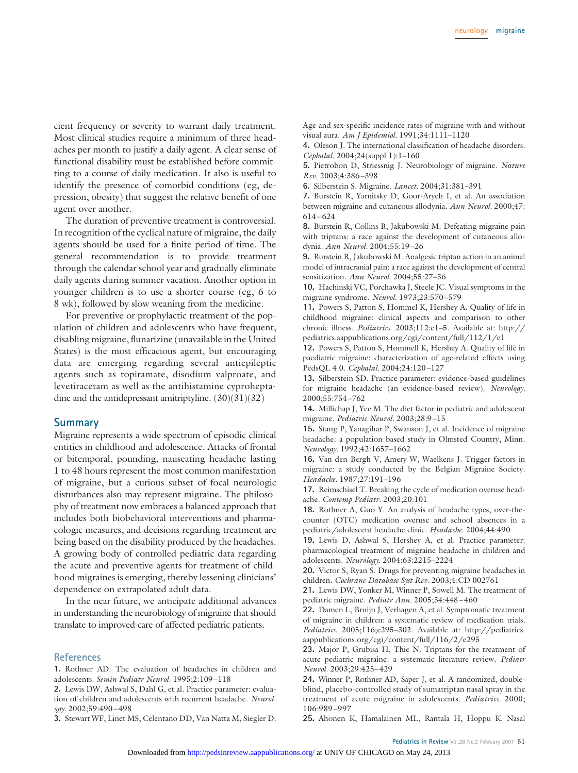cient frequency or severity to warrant daily treatment. Most clinical studies require a minimum of three headaches per month to justify a daily agent. A clear sense of functional disability must be established before committing to a course of daily medication. It also is useful to identify the presence of comorbid conditions (eg, depression, obesity) that suggest the relative benefit of one agent over another.

The duration of preventive treatment is controversial. In recognition of the cyclical nature of migraine, the daily agents should be used for a finite period of time. The general recommendation is to provide treatment through the calendar school year and gradually eliminate daily agents during summer vacation. Another option in younger children is to use a shorter course (eg, 6 to 8 wk), followed by slow weaning from the medicine.

For preventive or prophylactic treatment of the population of children and adolescents who have frequent, disabling migraine, flunarizine (unavailable in the United States) is the most efficacious agent, but encouraging data are emerging regarding several antiepileptic agents such as topiramate, disodium valproate, and levetiracetam as well as the antihistamine cyproheptadine and the antidepressant amitriptyline. (30)(31)(32)

# **Summary**

Migraine represents a wide spectrum of episodic clinical entities in childhood and adolescence. Attacks of frontal or bitemporal, pounding, nauseating headache lasting 1 to 48 hours represent the most common manifestation of migraine, but a curious subset of focal neurologic disturbances also may represent migraine. The philosophy of treatment now embraces a balanced approach that includes both biobehavioral interventions and pharmacologic measures, and decisions regarding treatment are being based on the disability produced by the headaches. A growing body of controlled pediatric data regarding the acute and preventive agents for treatment of childhood migraines is emerging, thereby lessening clinicians' dependence on extrapolated adult data.

In the near future, we anticipate additional advances in understanding the neurobiology of migraine that should translate to improved care of affected pediatric patients.

### **References**

**1.** Rothner AD. The evaluation of headaches in children and adolescents. *Semin Pediatr Neurol.* 1995;2:109 –118

**2.** Lewis DW, Ashwal S, Dahl G, et al. Practice parameter: evaluation of children and adolescents with recurrent headache. *Neurology.* 2002;59:490 – 498

**3.** Stewart WF, Linet MS, Celentano DD, Van Natta M, Siegler D.

Age and sex-specific incidence rates of migraine with and without visual aura. *Am J Epidemiol.* 1991;34:1111–1120

**4.** Oleson J. The international classification of headache disorders. *Cephalal.* 2004;24(suppl 1):1–160

**5.** Pietrobon D, Striessnig J. Neurobiology of migraine. *Nature Rev.* 2003;4:386 –398

**6.** Silberstein S. Migraine. *Lancet.* 2004;31:381–391

**7.** Burstein R, Yarnitsky D, Goor-Aryeh I, et al. An association between migraine and cutaneous allodynia. *Ann Neurol.* 2000;47:  $614 - 624$ 

**8.** Burstein R, Collins B, Jakubowski M. Defeating migraine pain with triptans: a race against the development of cutaneous allodynia. *Ann Neurol.* 2004;55:19 –26

**9.** Burstein R, Jakubowski M. Analgesic triptan action in an animal model of intracranial pain: a race against the development of central sensitization. *Ann Neurol.* 2004;55:27–36

**10.** Hachinski VC, Porchawka J, Steele JC. Visual symptoms in the migraine syndrome. *Neurol.* 1973;23:570 –579

**11.** Powers S, Patton S, Hommel K, Hershey A. Quality of life in childhood migraine: clinical aspects and comparison to other chronic illness. *Pediatrics.* 2003;112:e1–5. Available at: http:// pediatrics.aappublications.org/cgi/content/full/112/1/e1

**12.** Powers S, Patton S, Hommell K, Hershey A. Quality of life in paediatric migraine: characterization of age-related effects using PedsQL 4.0. *Cephalal.* 2004;24:120 –127

**13.** Silberstein SD. Practice parameter: evidence-based guidelines for migraine headache (an evidence-based review). *Neurology.* 2000;55:754 –762

**14.** Millichap J, Yee M. The diet factor in pediatric and adolescent migraine. *Pediatric Neurol.* 2003;28:9 –15

**15.** Stang P, Yanagihar P, Swanson J, et al. Incidence of migraine headache: a population based study in Olmsted Country, Minn. *Neurology.* 1992;42:1657–1662

**16.** Van den Bergh V, Amery W, Waelkens J. Trigger factors in migraine: a study conducted by the Belgian Migraine Society. *Headache.* 1987;27:191–196

**17.** Reimschisel T. Breaking the cycle of medication overuse headache. *Contemp Pediatr.* 2003;20:101

**18.** Rothner A, Guo Y. An analysis of headache types, over-thecounter (OTC) medication overuse and school absences in a pediatric/adolescent headache clinic. *Headache.* 2004;44:490

**19.** Lewis D, Ashwal S, Hershey A, et al. Practice parameter: pharmacological treatment of migraine headache in children and adolescents. *Neurology.* 2004;63:2215–2224

**20.** Victor S, Ryan S. Drugs for preventing migraine headaches in children. *Cochrane Database Syst Rev.* 2003;4:CD 002761

**21.** Lewis DW, Yonker M, Winner P, Sowell M. The treatment of pediatric migraine. *Pediatr Ann.* 2005;34:448 – 460

**22.** Damen L, Bruijn J, Verhagen A, et al. Symptomatic treatment of migraine in children: a systematic review of medication trials*. Pediatrics.* 2005;116;e295–302. Available at: http://pediatrics. aappublications.org/cgi/content/full/116/2/e295

**23.** Major P, Grubisa H, Thie N. Triptans for the treatment of acute pediatric migraine: a systematic literature review. *Pediatr Neurol.* 2003;29:425– 429

**24.** Winner P, Rothner AD, Saper J, et al. A randomized, doubleblind, placebo-controlled study of sumatriptan nasal spray in the treatment of acute migraine in adolescents. *Pediatrics.* 2000; 106:989 –997

**25.** Ahonen K, Hamalainen ML, Rantala H, Hoppu K. Nasal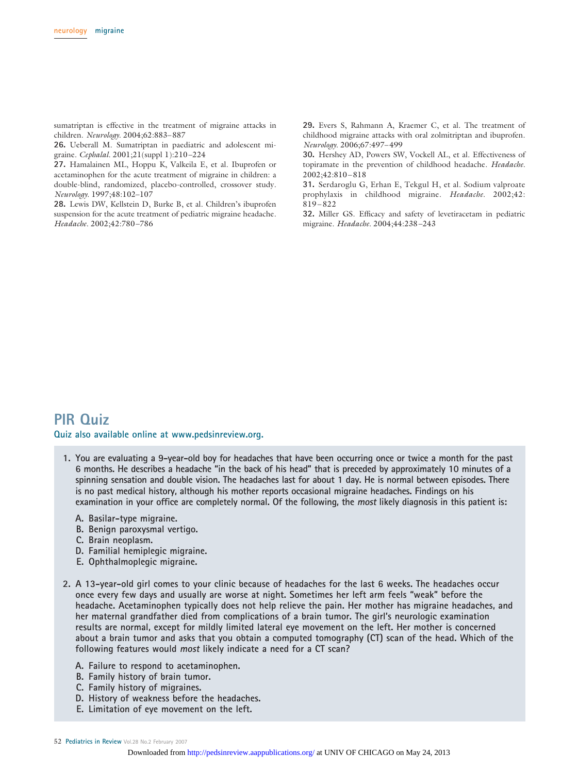sumatriptan is effective in the treatment of migraine attacks in children. *Neurology.* 2004;62:883– 887

**26.** Ueberall M. Sumatriptan in paediatric and adolescent migraine. *Cephalal.* 2001;21(suppl 1):210 –224

**27.** Hamalainen ML, Hoppu K, Valkeila E, et al. Ibuprofen or acetaminophen for the acute treatment of migraine in children: a double-blind, randomized, placebo-controlled, crossover study. *Neurology.* 1997;48:102–107

**28.** Lewis DW, Kellstein D, Burke B, et al. Children's ibuprofen suspension for the acute treatment of pediatric migraine headache. *Headache.* 2002;42:780 –786

**29.** Evers S, Rahmann A, Kraemer C, et al. The treatment of childhood migraine attacks with oral zolmitriptan and ibuprofen. *Neurology.* 2006;67:497– 499

**30.** Hershey AD, Powers SW, Vockell AL, et al. Effectiveness of topiramate in the prevention of childhood headache*. Headache.* 2002;42:810 – 818

**31.** Serdaroglu G, Erhan E, Tekgul H, et al. Sodium valproate prophylaxis in childhood migraine. *Headache.* 2002;42:  $819 - 822$ 

**32.** Miller GS. Efficacy and safety of levetiracetam in pediatric migraine. *Headache.* 2004;44:238 –243

# **PIR Quiz**

**Quiz also available online at www.pedsinreview.org.**

- **1. You are evaluating a 9-year-old boy for headaches that have been occurring once or twice a month for the past 6 months. He describes a headache "in the back of his head" that is preceded by approximately 10 minutes of a spinning sensation and double vision. The headaches last for about 1 day. He is normal between episodes. There is no past medical history, although his mother reports occasional migraine headaches. Findings on his examination in your office are completely normal. Of the following, the most likely diagnosis in this patient is:**
	- **A. Basilar-type migraine.**
	- **B. Benign paroxysmal vertigo.**
	- **C. Brain neoplasm.**
	- **D. Familial hemiplegic migraine.**
	- **E. Ophthalmoplegic migraine.**
- **2. A 13-year-old girl comes to your clinic because of headaches for the last 6 weeks. The headaches occur once every few days and usually are worse at night. Sometimes her left arm feels "weak" before the headache. Acetaminophen typically does not help relieve the pain. Her mother has migraine headaches, and her maternal grandfather died from complications of a brain tumor. The girl's neurologic examination results are normal, except for mildly limited lateral eye movement on the left. Her mother is concerned about a brain tumor and asks that you obtain a computed tomography (CT) scan of the head. Which of the following features would most likely indicate a need for a CT scan?**
	- **A. Failure to respond to acetaminophen.**
	- **B. Family history of brain tumor.**
	- **C. Family history of migraines.**
	- **D. History of weakness before the headaches.**
	- **E. Limitation of eye movement on the left.**

<sup>52</sup> **Pediatrics in Review** Vol.28 No.2 February 2007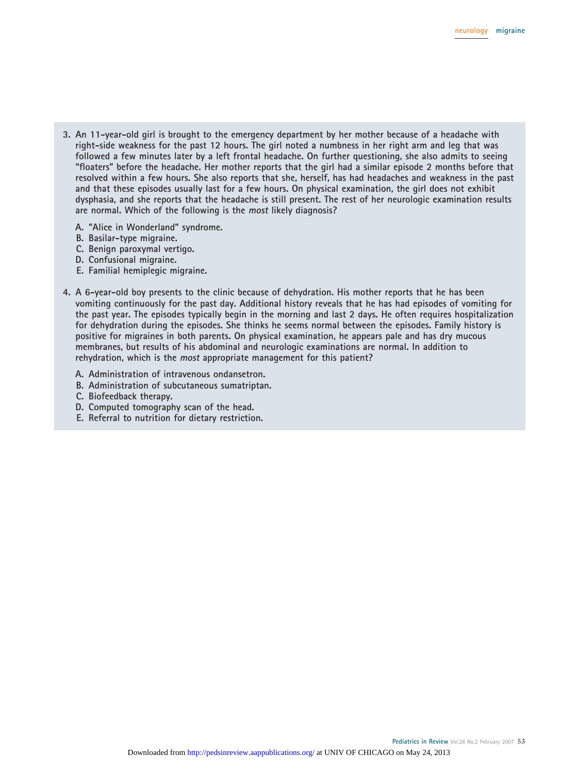- **3. An 11-year-old girl is brought to the emergency department by her mother because of a headache with right-side weakness for the past 12 hours. The girl noted a numbness in her right arm and leg that was followed a few minutes later by a left frontal headache. On further questioning, she also admits to seeing "floaters" before the headache. Her mother reports that the girl had a similar episode 2 months before that resolved within a few hours. She also reports that she, herself, has had headaches and weakness in the past and that these episodes usually last for a few hours. On physical examination, the girl does not exhibit dysphasia, and she reports that the headache is still present. The rest of her neurologic examination results are normal. Which of the following is the most likely diagnosis?**
	- **A. "Alice in Wonderland" syndrome.**
	- **B. Basilar-type migraine.**
	- **C. Benign paroxymal vertigo.**
	- **D. Confusional migraine.**
	- **E. Familial hemiplegic migraine.**
- **4. A 6-year-old boy presents to the clinic because of dehydration. His mother reports that he has been vomiting continuously for the past day. Additional history reveals that he has had episodes of vomiting for the past year. The episodes typically begin in the morning and last 2 days. He often requires hospitalization for dehydration during the episodes. She thinks he seems normal between the episodes. Family history is positive for migraines in both parents. On physical examination, he appears pale and has dry mucous membranes, but results of his abdominal and neurologic examinations are normal. In addition to rehydration, which is the most appropriate management for this patient?**
	- **A. Administration of intravenous ondansetron.**
	- **B. Administration of subcutaneous sumatriptan.**
	- **C. Biofeedback therapy.**
	- **D. Computed tomography scan of the head.**
	- **E. Referral to nutrition for dietary restriction.**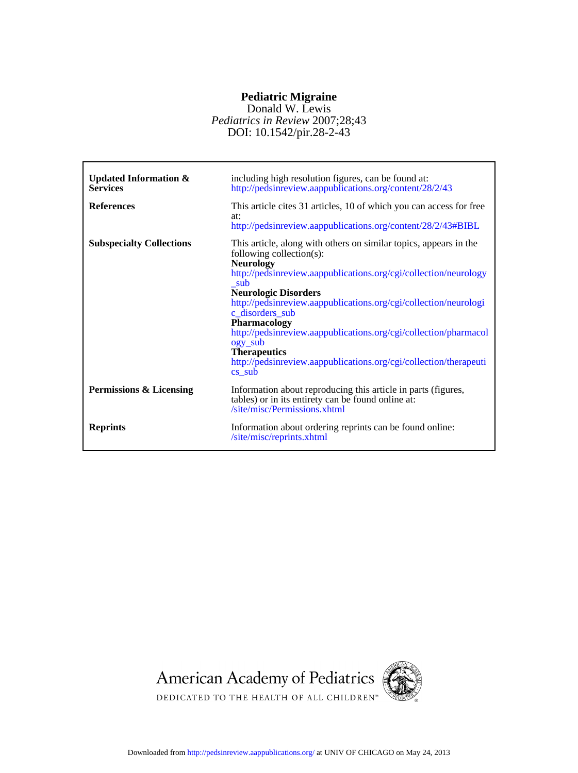# **Pediatric Migraine**

DOI: 10.1542/pir.28-2-43 *Pediatrics in Review* 2007;28;43 Donald W. Lewis

| <b>Updated Information &amp;</b><br><b>Services</b> | including high resolution figures, can be found at:<br>http://pedsinreview.aappublications.org/content/28/2/43                                                                                                                                                                                                                                                                                                                                                                                                                         |
|-----------------------------------------------------|----------------------------------------------------------------------------------------------------------------------------------------------------------------------------------------------------------------------------------------------------------------------------------------------------------------------------------------------------------------------------------------------------------------------------------------------------------------------------------------------------------------------------------------|
| <b>References</b>                                   | This article cites 31 articles, 10 of which you can access for free<br>at:<br>http://pedsinreview.aappublications.org/content/28/2/43#BIBL                                                                                                                                                                                                                                                                                                                                                                                             |
| <b>Subspecialty Collections</b>                     | This article, along with others on similar topics, appears in the<br>following collection $(s)$ :<br><b>Neurology</b><br>http://pedsinreview.aappublications.org/cgi/collection/neurology<br>$\_sub$<br><b>Neurologic Disorders</b><br>http://pedsinreview.aappublications.org/cgi/collection/neurologi<br>c_disorders_sub<br><b>Pharmacology</b><br>http://pedsinreview.aappublications.org/cgi/collection/pharmacol<br>ogy_sub<br><b>Therapeutics</b><br>http://pedsinreview.aappublications.org/cgi/collection/therapeuti<br>cs sub |
| Permissions & Licensing                             | Information about reproducing this article in parts (figures,<br>tables) or in its entirety can be found online at:<br>/site/misc/Permissions.xhtml                                                                                                                                                                                                                                                                                                                                                                                    |
| <b>Reprints</b>                                     | Information about ordering reprints can be found online:<br>/site/misc/reprints.xhtml                                                                                                                                                                                                                                                                                                                                                                                                                                                  |